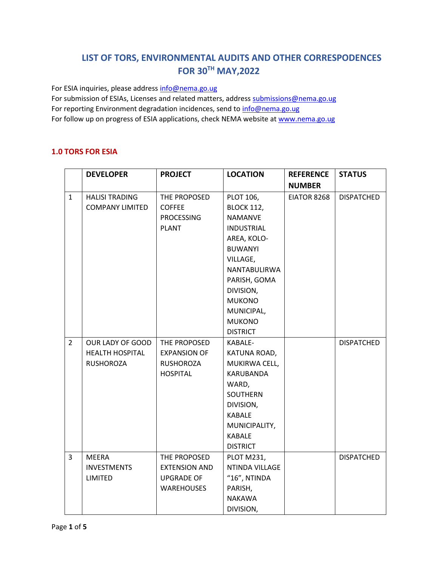# **LIST OF TORS, ENVIRONMENTAL AUDITS AND OTHER CORRESPODENCES FOR 30TH MAY,2022**

For ESIA inquiries, please addres[s info@nema.go.ug](mailto:info@nema.go.ug)

For submission of ESIAs, Licenses and related matters, address [submissions@nema.go.ug](mailto:submissions@nema.go.ug) For reporting Environment degradation incidences, send t[o info@nema.go.ug](mailto:info@nema.go.ug) For follow up on progress of ESIA applications, check NEMA website at [www.nema.go.ug](http://www.nema.go.ug/)

#### **1.0 TORS FOR ESIA**

|                | <b>DEVELOPER</b>       | <b>PROJECT</b>       | <b>LOCATION</b>   | <b>REFERENCE</b> | <b>STATUS</b>     |
|----------------|------------------------|----------------------|-------------------|------------------|-------------------|
|                |                        |                      |                   | <b>NUMBER</b>    |                   |
| $\mathbf{1}$   | <b>HALISI TRADING</b>  | THE PROPOSED         | PLOT 106,         | EIATOR 8268      | <b>DISPATCHED</b> |
|                | <b>COMPANY LIMITED</b> | <b>COFFEE</b>        | <b>BLOCK 112,</b> |                  |                   |
|                |                        | <b>PROCESSING</b>    | <b>NAMANVE</b>    |                  |                   |
|                |                        | <b>PLANT</b>         | <b>INDUSTRIAL</b> |                  |                   |
|                |                        |                      | AREA, KOLO-       |                  |                   |
|                |                        |                      | <b>BUWANYI</b>    |                  |                   |
|                |                        |                      | VILLAGE,          |                  |                   |
|                |                        |                      | NANTABULIRWA      |                  |                   |
|                |                        |                      | PARISH, GOMA      |                  |                   |
|                |                        |                      | DIVISION,         |                  |                   |
|                |                        |                      | <b>MUKONO</b>     |                  |                   |
|                |                        |                      | MUNICIPAL,        |                  |                   |
|                |                        |                      | <b>MUKONO</b>     |                  |                   |
|                |                        |                      | <b>DISTRICT</b>   |                  |                   |
| $\overline{2}$ | OUR LADY OF GOOD       | THE PROPOSED         | KABALE-           |                  | <b>DISPATCHED</b> |
|                | <b>HEALTH HOSPITAL</b> | <b>EXPANSION OF</b>  | KATUNA ROAD,      |                  |                   |
|                | <b>RUSHOROZA</b>       | <b>RUSHOROZA</b>     | MUKIRWA CELL,     |                  |                   |
|                |                        | <b>HOSPITAL</b>      | KARUBANDA         |                  |                   |
|                |                        |                      | WARD,             |                  |                   |
|                |                        |                      | SOUTHERN          |                  |                   |
|                |                        |                      | DIVISION,         |                  |                   |
|                |                        |                      | <b>KABALE</b>     |                  |                   |
|                |                        |                      | MUNICIPALITY,     |                  |                   |
|                |                        |                      | <b>KABALE</b>     |                  |                   |
|                |                        |                      | <b>DISTRICT</b>   |                  |                   |
| 3              | <b>MEERA</b>           | THE PROPOSED         | <b>PLOT M231,</b> |                  | <b>DISPATCHED</b> |
|                | <b>INVESTMENTS</b>     | <b>EXTENSION AND</b> | NTINDA VILLAGE    |                  |                   |
|                | LIMITED                | <b>UPGRADE OF</b>    | $"16"$ , NTINDA   |                  |                   |
|                |                        | <b>WAREHOUSES</b>    | PARISH,           |                  |                   |
|                |                        |                      | <b>NAKAWA</b>     |                  |                   |
|                |                        |                      | DIVISION,         |                  |                   |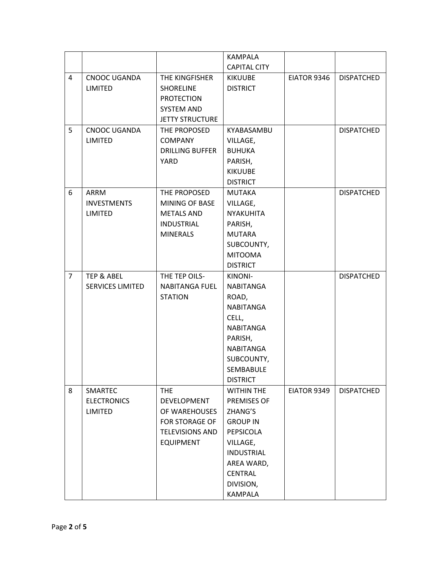|                |                         |                        | <b>KAMPALA</b>      |             |                   |
|----------------|-------------------------|------------------------|---------------------|-------------|-------------------|
|                |                         |                        | <b>CAPITAL CITY</b> |             |                   |
| 4              | CNOOC UGANDA            | THE KINGFISHER         | <b>KIKUUBE</b>      | EIATOR 9346 | <b>DISPATCHED</b> |
|                | <b>LIMITED</b>          | <b>SHORELINE</b>       | <b>DISTRICT</b>     |             |                   |
|                |                         | <b>PROTECTION</b>      |                     |             |                   |
|                |                         | <b>SYSTEM AND</b>      |                     |             |                   |
|                |                         | <b>JETTY STRUCTURE</b> |                     |             |                   |
| 5              | CNOOC UGANDA            | THE PROPOSED           | KYABASAMBU          |             | <b>DISPATCHED</b> |
|                | <b>LIMITED</b>          | <b>COMPANY</b>         | VILLAGE,            |             |                   |
|                |                         | <b>DRILLING BUFFER</b> | <b>BUHUKA</b>       |             |                   |
|                |                         | YARD                   | PARISH,             |             |                   |
|                |                         |                        | <b>KIKUUBE</b>      |             |                   |
|                |                         |                        | <b>DISTRICT</b>     |             |                   |
| 6              | ARRM                    | THE PROPOSED           | <b>MUTAKA</b>       |             | <b>DISPATCHED</b> |
|                | <b>INVESTMENTS</b>      | MINING OF BASE         | VILLAGE,            |             |                   |
|                | <b>LIMITED</b>          | <b>METALS AND</b>      | <b>NYAKUHITA</b>    |             |                   |
|                |                         | <b>INDUSTRIAL</b>      | PARISH,             |             |                   |
|                |                         | <b>MINERALS</b>        | <b>MUTARA</b>       |             |                   |
|                |                         |                        | SUBCOUNTY,          |             |                   |
|                |                         |                        | <b>MITOOMA</b>      |             |                   |
|                |                         |                        | <b>DISTRICT</b>     |             |                   |
| $\overline{7}$ | TEP & ABEL              | THE TEP OILS-          | KINONI-             |             | <b>DISPATCHED</b> |
|                | <b>SERVICES LIMITED</b> | <b>NABITANGA FUEL</b>  | NABITANGA           |             |                   |
|                |                         | <b>STATION</b>         | ROAD,               |             |                   |
|                |                         |                        | NABITANGA           |             |                   |
|                |                         |                        | CELL,               |             |                   |
|                |                         |                        | <b>NABITANGA</b>    |             |                   |
|                |                         |                        | PARISH,             |             |                   |
|                |                         |                        | NABITANGA           |             |                   |
|                |                         |                        | SUBCOUNTY,          |             |                   |
|                |                         |                        | SEMBABULE           |             |                   |
|                |                         |                        | <b>DISTRICT</b>     |             |                   |
| 8              | SMARTEC                 | <b>THE</b>             | <b>WITHIN THE</b>   | EIATOR 9349 | <b>DISPATCHED</b> |
|                | <b>ELECTRONICS</b>      | <b>DEVELOPMENT</b>     | PREMISES OF         |             |                   |
|                | <b>LIMITED</b>          | OF WAREHOUSES          | ZHANG'S             |             |                   |
|                |                         | <b>FOR STORAGE OF</b>  | <b>GROUP IN</b>     |             |                   |
|                |                         | <b>TELEVISIONS AND</b> | PEPSICOLA           |             |                   |
|                |                         | <b>EQUIPMENT</b>       | VILLAGE,            |             |                   |
|                |                         |                        | <b>INDUSTRIAL</b>   |             |                   |
|                |                         |                        | AREA WARD,          |             |                   |
|                |                         |                        | <b>CENTRAL</b>      |             |                   |
|                |                         |                        | DIVISION,           |             |                   |
|                |                         |                        | KAMPALA             |             |                   |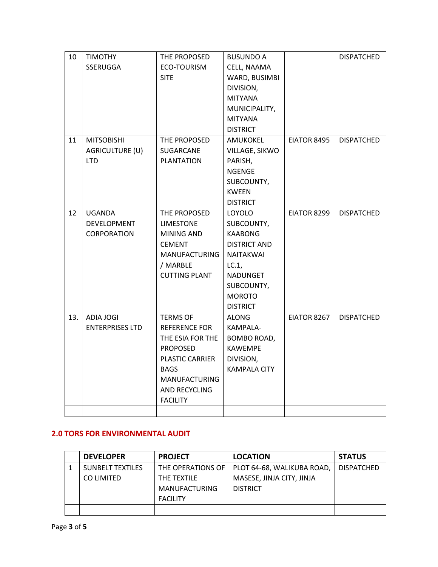| 10  | <b>TIMOTHY</b>         | THE PROPOSED         | <b>BUSUNDO A</b>    |             | <b>DISPATCHED</b> |
|-----|------------------------|----------------------|---------------------|-------------|-------------------|
|     | SSERUGGA               | ECO-TOURISM          | CELL, NAAMA         |             |                   |
|     |                        | <b>SITE</b>          | WARD, BUSIMBI       |             |                   |
|     |                        |                      | DIVISION,           |             |                   |
|     |                        |                      | <b>MITYANA</b>      |             |                   |
|     |                        |                      | MUNICIPALITY,       |             |                   |
|     |                        |                      | <b>MITYANA</b>      |             |                   |
|     |                        |                      | <b>DISTRICT</b>     |             |                   |
| 11  | <b>MITSOBISHI</b>      | THE PROPOSED         | AMUKOKEL            | EIATOR 8495 | <b>DISPATCHED</b> |
|     | AGRICULTURE (U)        | SUGARCANE            | VILLAGE, SIKWO      |             |                   |
|     | <b>LTD</b>             | <b>PLANTATION</b>    | PARISH,             |             |                   |
|     |                        |                      | <b>NGENGE</b>       |             |                   |
|     |                        |                      | SUBCOUNTY,          |             |                   |
|     |                        |                      | <b>KWEEN</b>        |             |                   |
|     |                        |                      | <b>DISTRICT</b>     |             |                   |
| 12  | <b>UGANDA</b>          | THE PROPOSED         | <b>LOYOLO</b>       | EIATOR 8299 | <b>DISPATCHED</b> |
|     | DEVELOPMENT            | <b>LIMESTONE</b>     | SUBCOUNTY,          |             |                   |
|     | CORPORATION            | MINING AND           | <b>KAABONG</b>      |             |                   |
|     |                        | <b>CEMENT</b>        | <b>DISTRICT AND</b> |             |                   |
|     |                        | <b>MANUFACTURING</b> | <b>NAITAKWAI</b>    |             |                   |
|     |                        | / MARBLE             | LC.1                |             |                   |
|     |                        | <b>CUTTING PLANT</b> | NADUNGET            |             |                   |
|     |                        |                      | SUBCOUNTY,          |             |                   |
|     |                        |                      | <b>MOROTO</b>       |             |                   |
|     |                        |                      | <b>DISTRICT</b>     |             |                   |
| 13. | ADIA JOGI              | <b>TERMS OF</b>      | <b>ALONG</b>        | EIATOR 8267 | <b>DISPATCHED</b> |
|     | <b>ENTERPRISES LTD</b> | REFERENCE FOR        | KAMPALA-            |             |                   |
|     |                        | THE ESIA FOR THE     | BOMBO ROAD,         |             |                   |
|     |                        | <b>PROPOSED</b>      | <b>KAWEMPE</b>      |             |                   |
|     |                        | PLASTIC CARRIER      | DIVISION,           |             |                   |
|     |                        | <b>BAGS</b>          | <b>KAMPALA CITY</b> |             |                   |
|     |                        | <b>MANUFACTURING</b> |                     |             |                   |
|     |                        | AND RECYCLING        |                     |             |                   |
|     |                        | <b>FACILITY</b>      |                     |             |                   |
|     |                        |                      |                     |             |                   |

#### **2.0 TORS FOR ENVIRONMENTAL AUDIT**

| <b>DEVELOPER</b>        | <b>PROJECT</b>       | <b>LOCATION</b>                                | <b>STATUS</b>     |
|-------------------------|----------------------|------------------------------------------------|-------------------|
| <b>SUNBELT TEXTILES</b> |                      | THE OPERATIONS OF   PLOT 64-68, WALIKUBA ROAD, | <b>DISPATCHED</b> |
| CO LIMITED              | THE TEXTILE          | MASESE, JINJA CITY, JINJA                      |                   |
|                         | <b>MANUFACTURING</b> | <b>DISTRICT</b>                                |                   |
|                         | <b>FACILITY</b>      |                                                |                   |
|                         |                      |                                                |                   |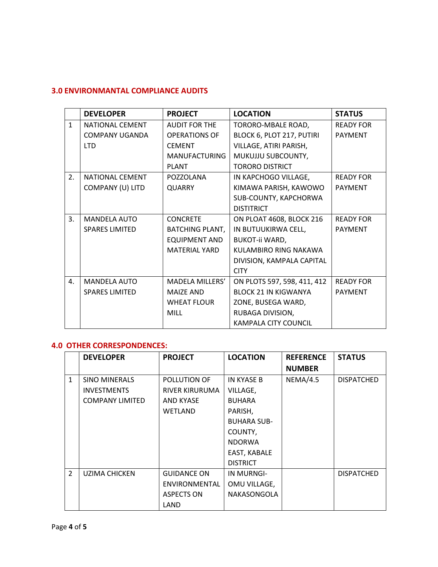## **3.0 ENVIRONMANTAL COMPLIANCE AUDITS**

|                | <b>DEVELOPER</b>       | <b>PROJECT</b>         | <b>LOCATION</b>             | <b>STATUS</b>    |
|----------------|------------------------|------------------------|-----------------------------|------------------|
| $\mathbf{1}$   | <b>NATIONAL CEMENT</b> | <b>AUDIT FOR THE</b>   | TORORO-MBALE ROAD,          | <b>READY FOR</b> |
|                | <b>COMPANY UGANDA</b>  | <b>OPERATIONS OF</b>   | BLOCK 6, PLOT 217, PUTIRI   | <b>PAYMENT</b>   |
|                | LTD.                   | <b>CEMENT</b>          | VILLAGE, ATIRI PARISH,      |                  |
|                |                        | <b>MANUFACTURING</b>   | MUKUJJU SUBCOUNTY,          |                  |
|                |                        | <b>PLANT</b>           | <b>TORORO DISTRICT</b>      |                  |
| 2.             | <b>NATIONAL CEMENT</b> | POZZOLANA              | IN KAPCHOGO VILLAGE,        | <b>READY FOR</b> |
|                | COMPANY (U) LITD       | <b>QUARRY</b>          | KIMAWA PARISH, KAWOWO       | <b>PAYMENT</b>   |
|                |                        |                        | SUB-COUNTY, KAPCHORWA       |                  |
|                |                        |                        | <b>DISTITRICT</b>           |                  |
| 3.             | <b>MANDELA AUTO</b>    | <b>CONCRETE</b>        | ON PLOAT 4608, BLOCK 216    | <b>READY FOR</b> |
|                | <b>SPARES LIMITED</b>  | <b>BATCHING PLANT,</b> | IN BUTUUKIRWA CELL,         | <b>PAYMENT</b>   |
|                |                        | <b>EQUIPMENT AND</b>   | <b>BUKOT-ii WARD,</b>       |                  |
|                |                        | <b>MATERIAL YARD</b>   | KULAMBIRO RING NAKAWA       |                  |
|                |                        |                        | DIVISION, KAMPALA CAPITAL   |                  |
|                |                        |                        | <b>CITY</b>                 |                  |
| $\mathbf{4}$ . | <b>MANDELA AUTO</b>    | MADELA MILLERS'        | ON PLOTS 597, 598, 411, 412 | <b>READY FOR</b> |
|                | <b>SPARES LIMITED</b>  | <b>MAIZE AND</b>       | <b>BLOCK 21 IN KIGWANYA</b> | <b>PAYMENT</b>   |
|                |                        | <b>WHEAT FLOUR</b>     | ZONE, BUSEGA WARD,          |                  |
|                |                        | <b>MILL</b>            | RUBAGA DIVISION,            |                  |
|                |                        |                        | KAMPALA CITY COUNCIL        |                  |

### **4.0 OTHER CORRESPONDENCES:**

|               | <b>DEVELOPER</b>       | <b>PROJECT</b>      | <b>LOCATION</b>    | <b>REFERENCE</b> | <b>STATUS</b>     |
|---------------|------------------------|---------------------|--------------------|------------------|-------------------|
|               |                        |                     |                    | <b>NUMBER</b>    |                   |
| $\mathbf{1}$  | <b>SINO MINERALS</b>   | <b>POLLUTION OF</b> | IN KYASE B         | NEMA/4.5         | <b>DISPATCHED</b> |
|               | <b>INVESTMENTS</b>     | RIVER KIRURUMA      | VILLAGE,           |                  |                   |
|               | <b>COMPANY LIMITED</b> | AND KYASE           | <b>BUHARA</b>      |                  |                   |
|               |                        | WETLAND             | PARISH,            |                  |                   |
|               |                        |                     | <b>BUHARA SUB-</b> |                  |                   |
|               |                        |                     | COUNTY,            |                  |                   |
|               |                        |                     | <b>NDORWA</b>      |                  |                   |
|               |                        |                     | EAST, KABALE       |                  |                   |
|               |                        |                     | <b>DISTRICT</b>    |                  |                   |
| $\mathcal{P}$ | UZIMA CHICKEN          | <b>GUIDANCE ON</b>  | <b>IN MURNGI-</b>  |                  | <b>DISPATCHED</b> |
|               |                        | ENVIRONMENTAL       | OMU VILLAGE,       |                  |                   |
|               |                        | <b>ASPECTS ON</b>   | NAKASONGOLA        |                  |                   |
|               |                        | LAND                |                    |                  |                   |